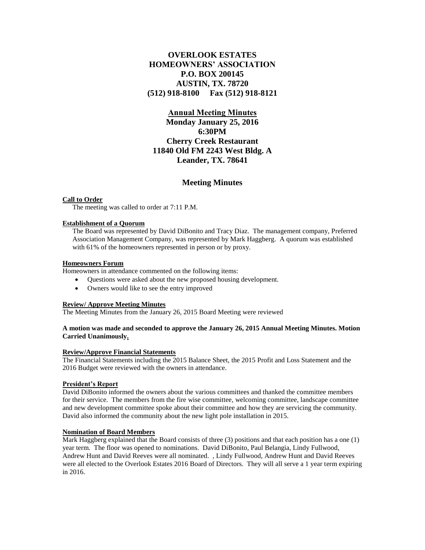# **OVERLOOK ESTATES HOMEOWNERS' ASSOCIATION P.O. BOX 200145 AUSTIN, TX. 78720 (512) 918-8100 Fax (512) 918-8121**

# **Annual Meeting Minutes**

**Monday January 25, 2016 6:30PM Cherry Creek Restaurant 11840 Old FM 2243 West Bldg. A Leander, TX. 78641**

# **Meeting Minutes**

### **Call to Order**

The meeting was called to order at 7:11 P.M.

### **Establishment of a Quorum**

The Board was represented by David DiBonito and Tracy Diaz. The management company, Preferred Association Management Company, was represented by Mark Haggberg. A quorum was established with 61% of the homeowners represented in person or by proxy.

### **Homeowners Forum**

Homeowners in attendance commented on the following items:

- Questions were asked about the new proposed housing development.
- Owners would like to see the entry improved

# **Review/ Approve Meeting Minutes**

The Meeting Minutes from the January 26, 2015 Board Meeting were reviewed

## **A motion was made and seconded to approve the January 26, 2015 Annual Meeting Minutes. Motion Carried Unanimously.**

# **Review/Approve Financial Statements**

The Financial Statements including the 2015 Balance Sheet, the 2015 Profit and Loss Statement and the 2016 Budget were reviewed with the owners in attendance.

### **President's Report**

David DiBonito informed the owners about the various committees and thanked the committee members for their service. The members from the fire wise committee, welcoming committee, landscape committee and new development committee spoke about their committee and how they are servicing the community. David also informed the community about the new light pole installation in 2015.

### **Nomination of Board Members**

Mark Haggberg explained that the Board consists of three (3) positions and that each position has a one (1) year term. The floor was opened to nominations. David DiBonito, Paul Belangia, Lindy Fullwood, Andrew Hunt and David Reeves were all nominated. , Lindy Fullwood, Andrew Hunt and David Reeves were all elected to the Overlook Estates 2016 Board of Directors. They will all serve a 1 year term expiring in 2016.